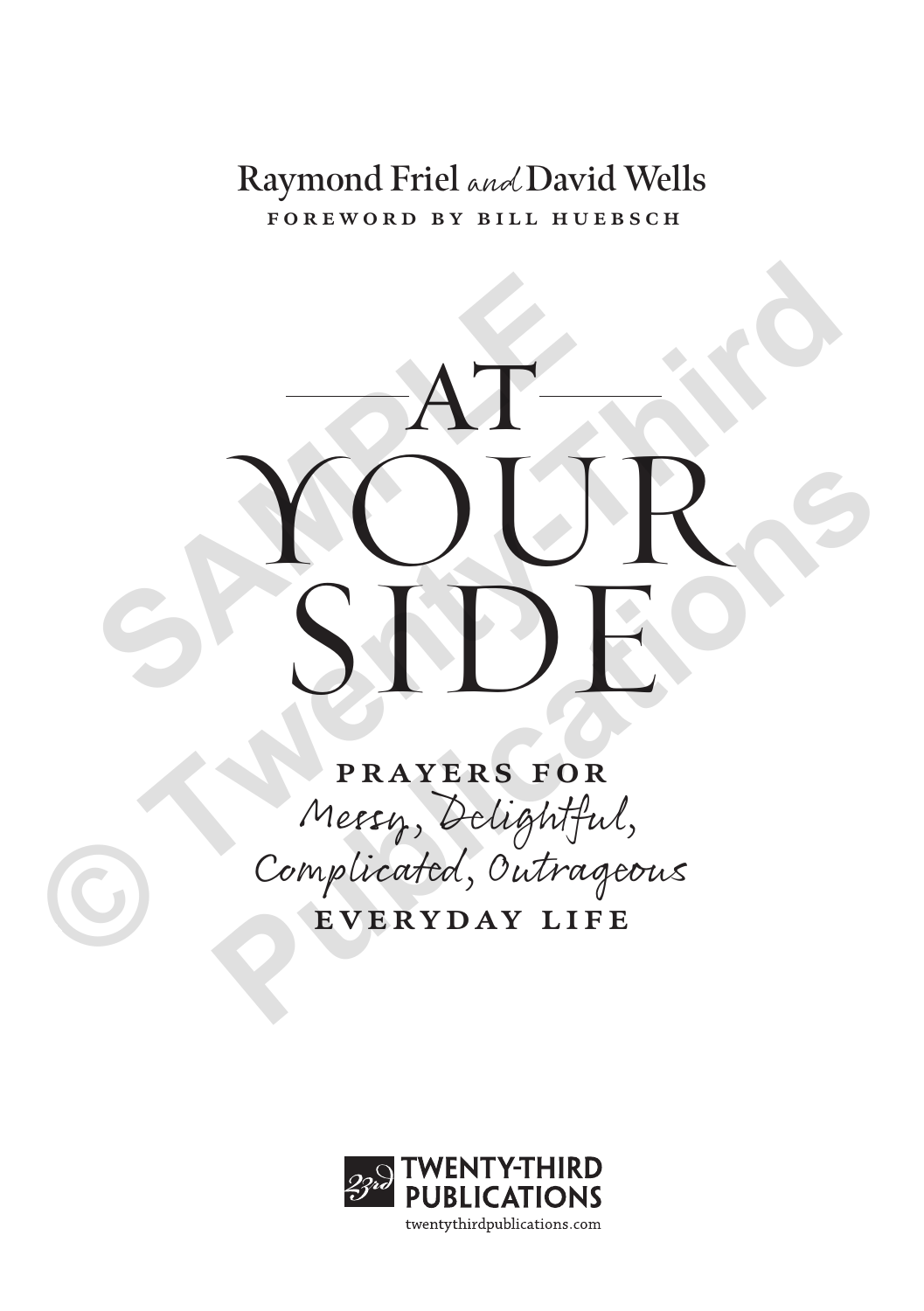#### **Raymond Friel** and **David Wells FOREWORD BY BILL HUEBSCH**

# AT YOUR SIDE SATTES **COUR PRAYERS FOR<br>
PRAYERS FOR<br>
Mersy, Delightful,<br>
Complicated, Outrageous**

**P R AY E R S F O R**  Messy, Delightful, Complicated, Outrageous **EVERYDAY LIFE**

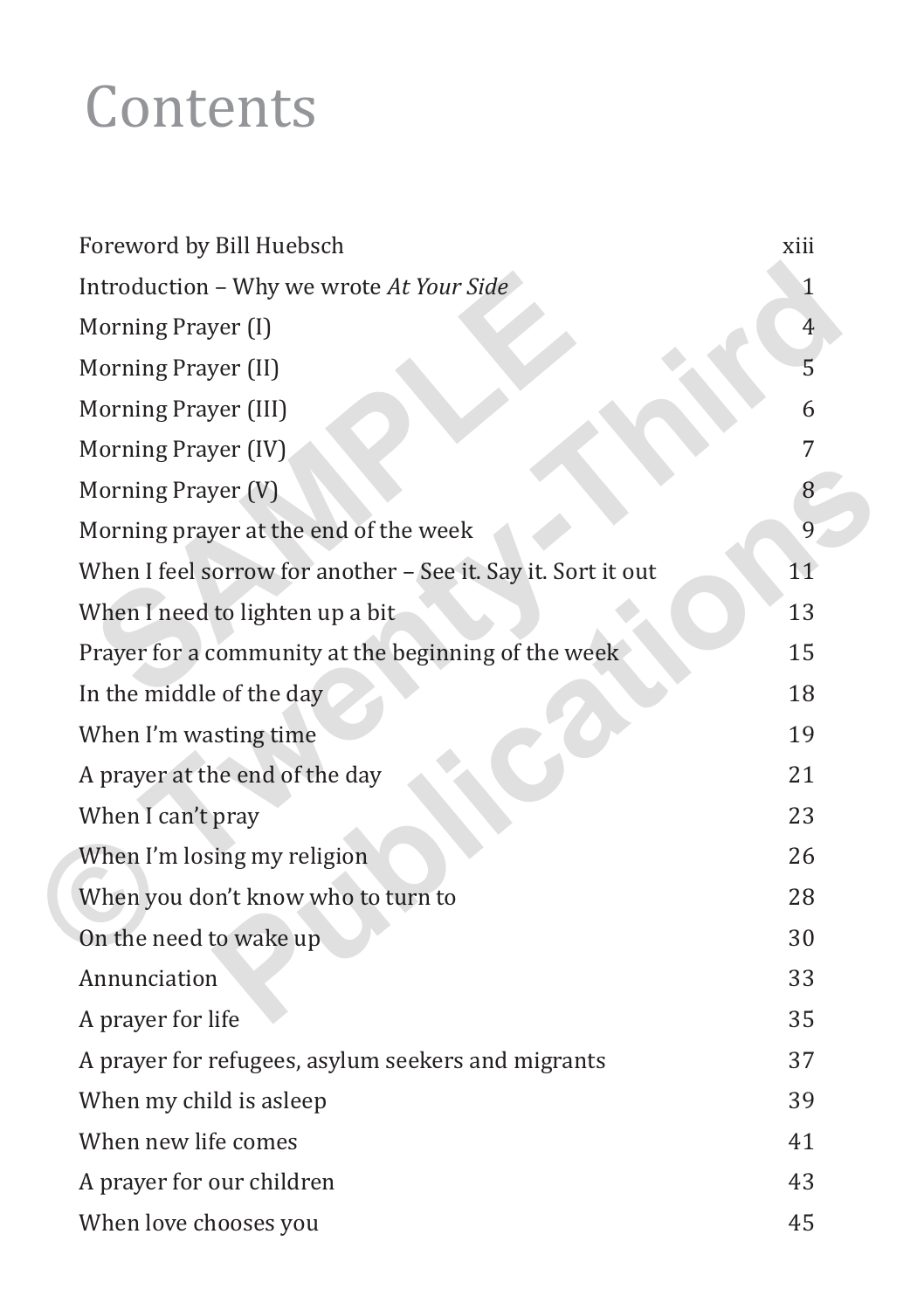# **Contents**

| Foreword by Bill Huebsch                                     | xiii           |
|--------------------------------------------------------------|----------------|
| Introduction - Why we wrote At Your Side                     | 1              |
| Morning Prayer (I)                                           | $\overline{4}$ |
| Morning Prayer (II)                                          | 5              |
| Morning Prayer (III)                                         | 6              |
| Morning Prayer (IV)                                          | 7              |
| Morning Prayer (V)                                           | 8              |
| Morning prayer at the end of the week                        | 9              |
| When I feel sorrow for another - See it. Say it. Sort it out | 11             |
| When I need to lighten up a bit                              | 13             |
| Prayer for a community at the beginning of the week          | 15             |
| In the middle of the day                                     | 18             |
| When I'm wasting time                                        | 19             |
| A prayer at the end of the day                               | 21             |
| When I can't pray                                            | 23             |
| When I'm losing my religion                                  | 26             |
| When you don't know who to turn to                           | 28             |
| On the need to wake up                                       | 30             |
| Annunciation                                                 | 33             |
| A prayer for life                                            | 35             |
| A prayer for refugees, asylum seekers and migrants           | 37             |
| When my child is asleep                                      | 39             |
| When new life comes                                          | 41             |
| A prayer for our children                                    | 43             |
| When love chooses you                                        | 45             |
|                                                              |                |
|                                                              |                |
|                                                              |                |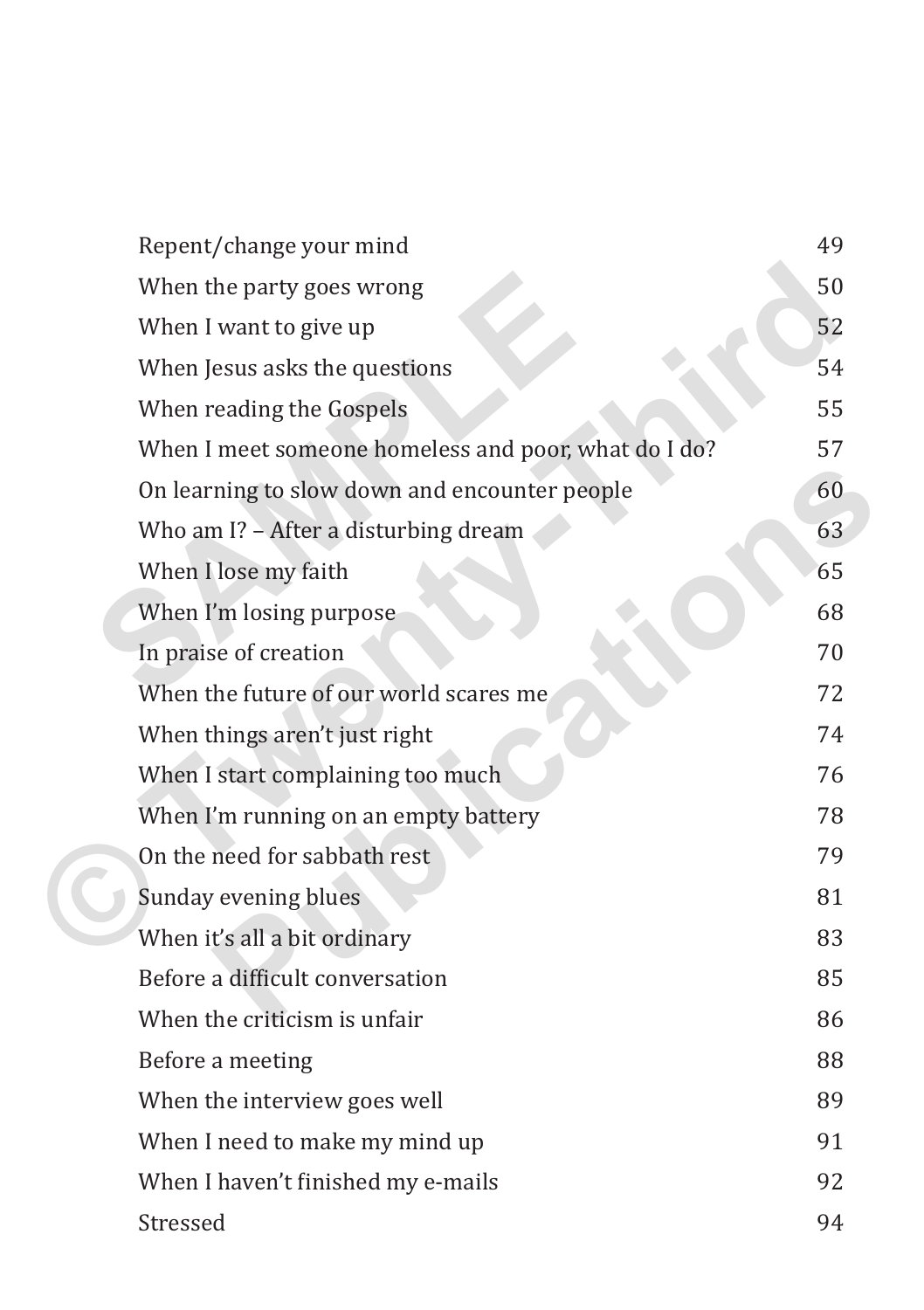| 50<br>When the party goes wrong<br>52<br>When I want to give up<br>54<br>When Jesus asks the questions<br>55<br>When reading the Gospels<br>57<br>When I meet someone homeless and poor, what do I do?<br>60<br>On learning to slow down and encounter people<br>63<br>Who am I? - After a disturbing dream<br>When I lose my faith<br>65<br>When I'm losing purpose<br>68<br>In praise of creation<br>70<br>When the future of our world scares me<br>72<br>When things aren't just right<br>74<br>76<br>When I start complaining too much<br>When I'm running on an empty battery<br>78<br>On the need for sabbath rest<br>79<br>81<br>Sunday evening blues<br>When it's all a bit ordinary<br>83<br>Before a difficult conversation<br>85<br>When the criticism is unfair<br>86<br>Before a meeting<br>88<br>89<br>When the interview goes well<br>91<br>When I need to make my mind up<br>When I haven't finished my e-mails<br>92<br>Stressed<br>94 | Repent/change your mind | 49 |
|----------------------------------------------------------------------------------------------------------------------------------------------------------------------------------------------------------------------------------------------------------------------------------------------------------------------------------------------------------------------------------------------------------------------------------------------------------------------------------------------------------------------------------------------------------------------------------------------------------------------------------------------------------------------------------------------------------------------------------------------------------------------------------------------------------------------------------------------------------------------------------------------------------------------------------------------------------|-------------------------|----|
|                                                                                                                                                                                                                                                                                                                                                                                                                                                                                                                                                                                                                                                                                                                                                                                                                                                                                                                                                          |                         |    |
|                                                                                                                                                                                                                                                                                                                                                                                                                                                                                                                                                                                                                                                                                                                                                                                                                                                                                                                                                          |                         |    |
|                                                                                                                                                                                                                                                                                                                                                                                                                                                                                                                                                                                                                                                                                                                                                                                                                                                                                                                                                          |                         |    |
|                                                                                                                                                                                                                                                                                                                                                                                                                                                                                                                                                                                                                                                                                                                                                                                                                                                                                                                                                          |                         |    |
|                                                                                                                                                                                                                                                                                                                                                                                                                                                                                                                                                                                                                                                                                                                                                                                                                                                                                                                                                          |                         |    |
|                                                                                                                                                                                                                                                                                                                                                                                                                                                                                                                                                                                                                                                                                                                                                                                                                                                                                                                                                          |                         |    |
|                                                                                                                                                                                                                                                                                                                                                                                                                                                                                                                                                                                                                                                                                                                                                                                                                                                                                                                                                          |                         |    |
|                                                                                                                                                                                                                                                                                                                                                                                                                                                                                                                                                                                                                                                                                                                                                                                                                                                                                                                                                          |                         |    |
|                                                                                                                                                                                                                                                                                                                                                                                                                                                                                                                                                                                                                                                                                                                                                                                                                                                                                                                                                          |                         |    |
|                                                                                                                                                                                                                                                                                                                                                                                                                                                                                                                                                                                                                                                                                                                                                                                                                                                                                                                                                          |                         |    |
|                                                                                                                                                                                                                                                                                                                                                                                                                                                                                                                                                                                                                                                                                                                                                                                                                                                                                                                                                          |                         |    |
|                                                                                                                                                                                                                                                                                                                                                                                                                                                                                                                                                                                                                                                                                                                                                                                                                                                                                                                                                          |                         |    |
|                                                                                                                                                                                                                                                                                                                                                                                                                                                                                                                                                                                                                                                                                                                                                                                                                                                                                                                                                          |                         |    |
|                                                                                                                                                                                                                                                                                                                                                                                                                                                                                                                                                                                                                                                                                                                                                                                                                                                                                                                                                          |                         |    |
|                                                                                                                                                                                                                                                                                                                                                                                                                                                                                                                                                                                                                                                                                                                                                                                                                                                                                                                                                          |                         |    |
|                                                                                                                                                                                                                                                                                                                                                                                                                                                                                                                                                                                                                                                                                                                                                                                                                                                                                                                                                          |                         |    |
|                                                                                                                                                                                                                                                                                                                                                                                                                                                                                                                                                                                                                                                                                                                                                                                                                                                                                                                                                          |                         |    |
|                                                                                                                                                                                                                                                                                                                                                                                                                                                                                                                                                                                                                                                                                                                                                                                                                                                                                                                                                          |                         |    |
|                                                                                                                                                                                                                                                                                                                                                                                                                                                                                                                                                                                                                                                                                                                                                                                                                                                                                                                                                          |                         |    |
|                                                                                                                                                                                                                                                                                                                                                                                                                                                                                                                                                                                                                                                                                                                                                                                                                                                                                                                                                          |                         |    |
|                                                                                                                                                                                                                                                                                                                                                                                                                                                                                                                                                                                                                                                                                                                                                                                                                                                                                                                                                          |                         |    |
|                                                                                                                                                                                                                                                                                                                                                                                                                                                                                                                                                                                                                                                                                                                                                                                                                                                                                                                                                          |                         |    |
|                                                                                                                                                                                                                                                                                                                                                                                                                                                                                                                                                                                                                                                                                                                                                                                                                                                                                                                                                          |                         |    |
|                                                                                                                                                                                                                                                                                                                                                                                                                                                                                                                                                                                                                                                                                                                                                                                                                                                                                                                                                          |                         |    |
|                                                                                                                                                                                                                                                                                                                                                                                                                                                                                                                                                                                                                                                                                                                                                                                                                                                                                                                                                          |                         |    |
|                                                                                                                                                                                                                                                                                                                                                                                                                                                                                                                                                                                                                                                                                                                                                                                                                                                                                                                                                          |                         |    |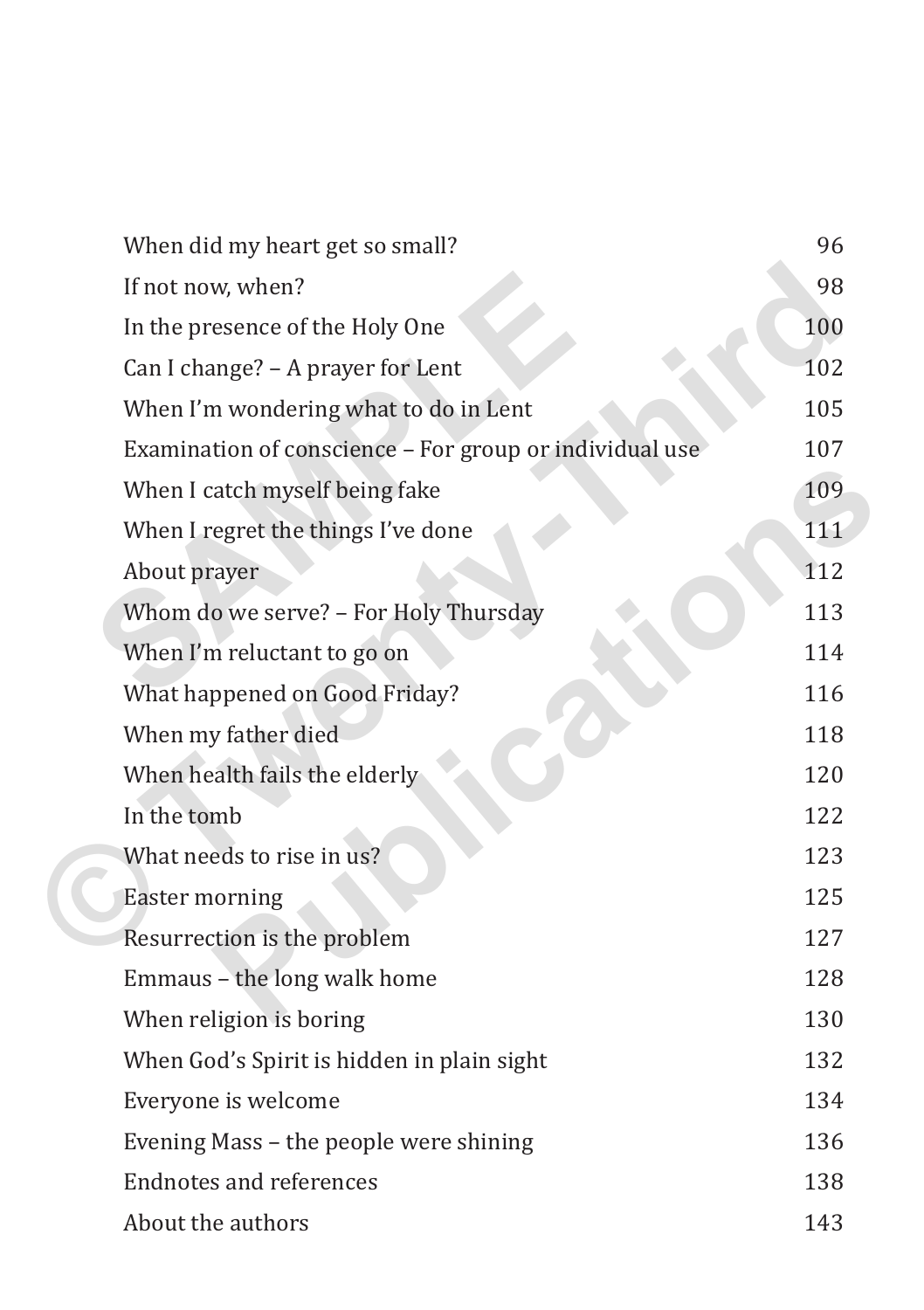| If not now, when?<br>98<br>In the presence of the Holy One<br>100<br>102<br>Can I change? - A prayer for Lent<br>When I'm wondering what to do in Lent<br>105<br>Examination of conscience - For group or individual use<br>107<br>When I catch myself being fake<br>109<br>When I regret the things I've done<br>111<br>112<br>About prayer<br>Whom do we serve? - For Holy Thursday<br>113<br>When I'm reluctant to go on<br>114<br>What happened on Good Friday?<br>116<br>When my father died<br>118<br>When health fails the elderly<br>120<br>In the tomb<br>122<br>What needs to rise in us?<br>123<br>Easter morning<br>125<br>Resurrection is the problem<br>127<br>Emmaus - the long walk home<br>128<br>When religion is boring<br>130<br>When God's Spirit is hidden in plain sight<br>132<br>134<br>Everyone is welcome<br>Evening Mass - the people were shining<br>136<br><b>Endnotes and references</b><br>138<br>About the authors<br>143 | When did my heart get so small? | 96 |
|------------------------------------------------------------------------------------------------------------------------------------------------------------------------------------------------------------------------------------------------------------------------------------------------------------------------------------------------------------------------------------------------------------------------------------------------------------------------------------------------------------------------------------------------------------------------------------------------------------------------------------------------------------------------------------------------------------------------------------------------------------------------------------------------------------------------------------------------------------------------------------------------------------------------------------------------------------|---------------------------------|----|
|                                                                                                                                                                                                                                                                                                                                                                                                                                                                                                                                                                                                                                                                                                                                                                                                                                                                                                                                                            |                                 |    |
|                                                                                                                                                                                                                                                                                                                                                                                                                                                                                                                                                                                                                                                                                                                                                                                                                                                                                                                                                            |                                 |    |
|                                                                                                                                                                                                                                                                                                                                                                                                                                                                                                                                                                                                                                                                                                                                                                                                                                                                                                                                                            |                                 |    |
|                                                                                                                                                                                                                                                                                                                                                                                                                                                                                                                                                                                                                                                                                                                                                                                                                                                                                                                                                            |                                 |    |
|                                                                                                                                                                                                                                                                                                                                                                                                                                                                                                                                                                                                                                                                                                                                                                                                                                                                                                                                                            |                                 |    |
|                                                                                                                                                                                                                                                                                                                                                                                                                                                                                                                                                                                                                                                                                                                                                                                                                                                                                                                                                            |                                 |    |
|                                                                                                                                                                                                                                                                                                                                                                                                                                                                                                                                                                                                                                                                                                                                                                                                                                                                                                                                                            |                                 |    |
|                                                                                                                                                                                                                                                                                                                                                                                                                                                                                                                                                                                                                                                                                                                                                                                                                                                                                                                                                            |                                 |    |
|                                                                                                                                                                                                                                                                                                                                                                                                                                                                                                                                                                                                                                                                                                                                                                                                                                                                                                                                                            |                                 |    |
|                                                                                                                                                                                                                                                                                                                                                                                                                                                                                                                                                                                                                                                                                                                                                                                                                                                                                                                                                            |                                 |    |
|                                                                                                                                                                                                                                                                                                                                                                                                                                                                                                                                                                                                                                                                                                                                                                                                                                                                                                                                                            |                                 |    |
|                                                                                                                                                                                                                                                                                                                                                                                                                                                                                                                                                                                                                                                                                                                                                                                                                                                                                                                                                            |                                 |    |
|                                                                                                                                                                                                                                                                                                                                                                                                                                                                                                                                                                                                                                                                                                                                                                                                                                                                                                                                                            |                                 |    |
|                                                                                                                                                                                                                                                                                                                                                                                                                                                                                                                                                                                                                                                                                                                                                                                                                                                                                                                                                            |                                 |    |
|                                                                                                                                                                                                                                                                                                                                                                                                                                                                                                                                                                                                                                                                                                                                                                                                                                                                                                                                                            |                                 |    |
|                                                                                                                                                                                                                                                                                                                                                                                                                                                                                                                                                                                                                                                                                                                                                                                                                                                                                                                                                            |                                 |    |
|                                                                                                                                                                                                                                                                                                                                                                                                                                                                                                                                                                                                                                                                                                                                                                                                                                                                                                                                                            |                                 |    |
|                                                                                                                                                                                                                                                                                                                                                                                                                                                                                                                                                                                                                                                                                                                                                                                                                                                                                                                                                            |                                 |    |
|                                                                                                                                                                                                                                                                                                                                                                                                                                                                                                                                                                                                                                                                                                                                                                                                                                                                                                                                                            |                                 |    |
|                                                                                                                                                                                                                                                                                                                                                                                                                                                                                                                                                                                                                                                                                                                                                                                                                                                                                                                                                            |                                 |    |
|                                                                                                                                                                                                                                                                                                                                                                                                                                                                                                                                                                                                                                                                                                                                                                                                                                                                                                                                                            |                                 |    |
|                                                                                                                                                                                                                                                                                                                                                                                                                                                                                                                                                                                                                                                                                                                                                                                                                                                                                                                                                            |                                 |    |
|                                                                                                                                                                                                                                                                                                                                                                                                                                                                                                                                                                                                                                                                                                                                                                                                                                                                                                                                                            |                                 |    |
|                                                                                                                                                                                                                                                                                                                                                                                                                                                                                                                                                                                                                                                                                                                                                                                                                                                                                                                                                            |                                 |    |
|                                                                                                                                                                                                                                                                                                                                                                                                                                                                                                                                                                                                                                                                                                                                                                                                                                                                                                                                                            |                                 |    |
|                                                                                                                                                                                                                                                                                                                                                                                                                                                                                                                                                                                                                                                                                                                                                                                                                                                                                                                                                            |                                 |    |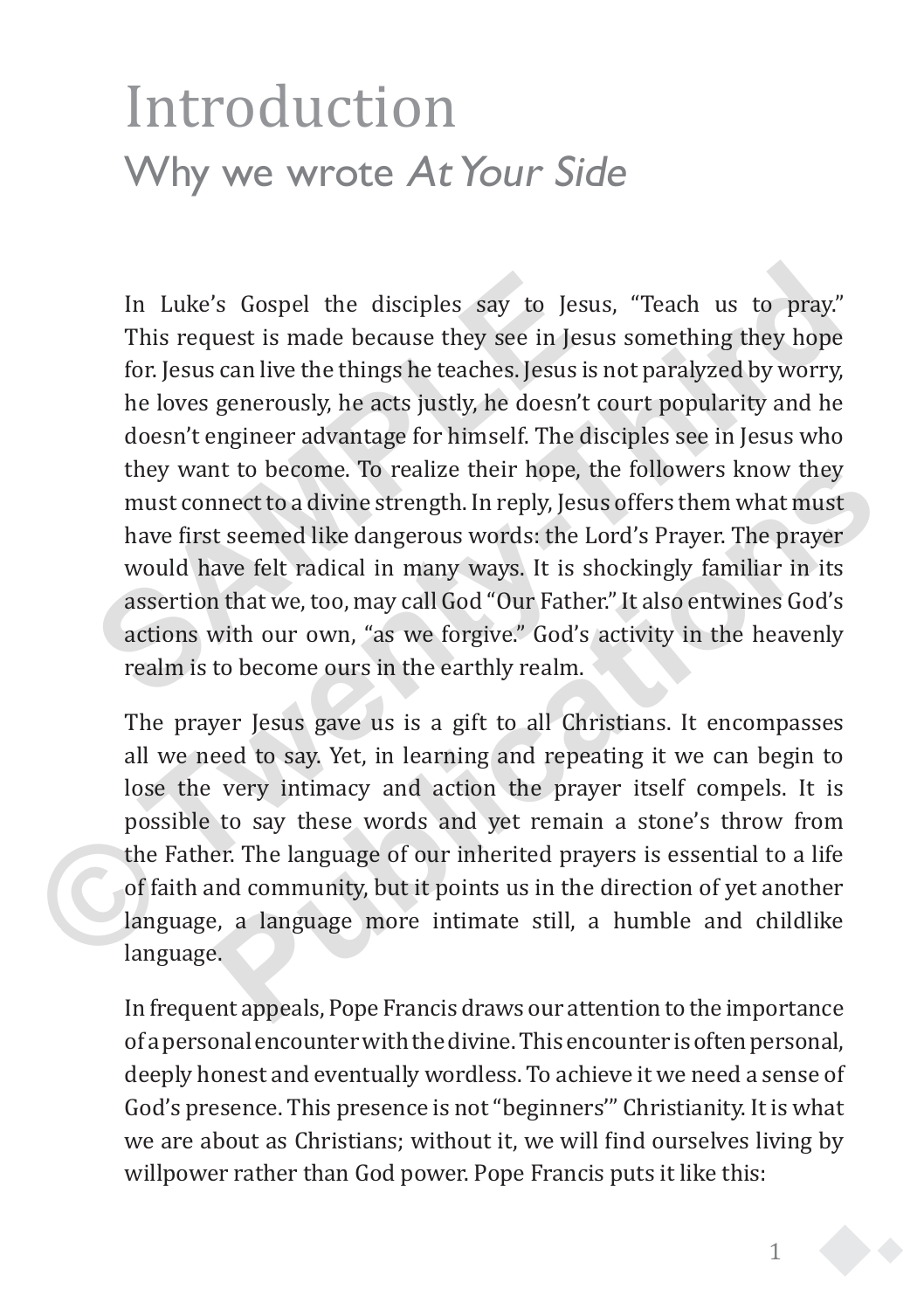# Introduction Why we wrote At Your Side

In Luke's Gospel the disciples say to Jesus, "Teach us to pray." This request is made because they see in Jesus something they hope for. Jesus can live the things he teaches. Jesus is not paralyzed by worry. he loves generously, he acts justly, he doesn't court popularity and he doesn't engineer advantage for himself. The disciples see in Jesus who they want to become. To realize their hope, the followers know they must connect to a divine strength. In reply, Jesus offers them what must have first seemed like dangerous words: the Lord's Prayer. The prayer would have felt radical in many ways. It is shockingly familiar in its assertion that we, too, may call God "Our Father." It also entwines God's actions with our own, "as we forgive." God's activity in the heavenly realm is to become ours in the earthly realm. In Luke's Gospel the disciples say to Jesus, "Teach us to pray."<br>This request is made because they see in Jesus something they hope<br>In Jesus can live the things the teaches, lesse is not paralyzed by vorry,<br>he loves genero In Luke's Gospel the disciples say to Jesus, "Teach us to pray."<br>This request is made because they see in Jesus something they hope<br>for Jesus can live the things he teaches. Jesus is not paralyzed by worry,<br>he loves genero

The prayer Jesus gave us is a gift to all Christians. It encompasses all we need to say. Yet, in learning and repeating it we can begin to lose the very intimacy and action the prayer itself compels. It is possible to say these words and yet remain a stone's throw from the Father. The language of our inherited prayers is essential to a life of faith and community, but it points us in the direction of yet another language, a language more intimate still, a humble and childlike language. In the become. To realize their hope, the followers know they<br>nnect to a divine strength. In reply, Jesus offers them what must<br>t seemed like dangerous words: the Lord's Prayer. The prayer<br>ave felt radical in many ways. It

In frequent appeals, Pope Francis draws our attention to the importance of a personal encounter with the divine. This encounter is often personal, deeply honest and eventually wordless. To achieve it we need a sense of God's presence. This presence is not "beginners'" Christianity. It is what we are about as Christians; without it, we will find ourselves living by willpower rather than God power. Pope Francis puts it like this:

ͳ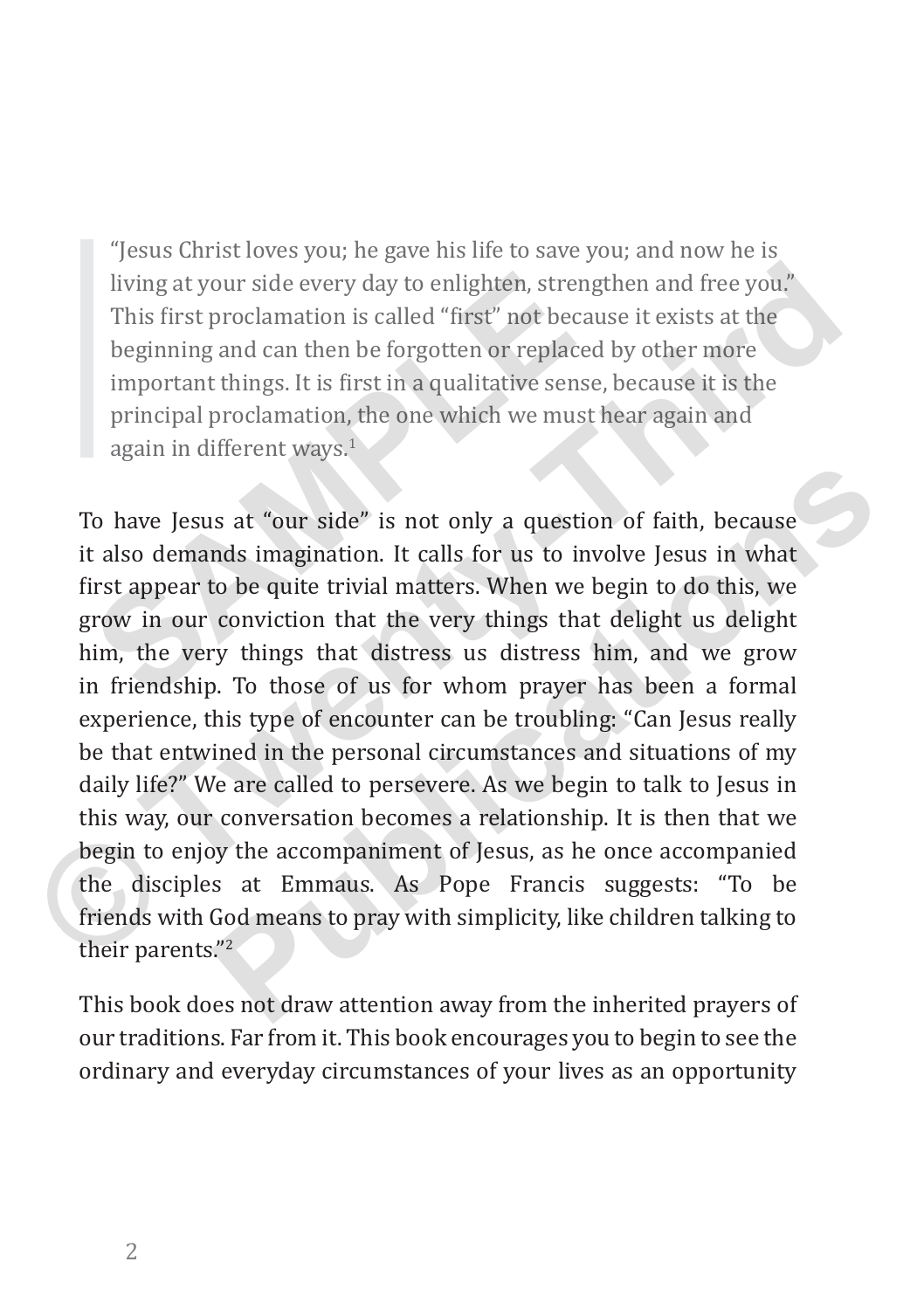"Jesus Christ loves you; he gave his life to save you; and now he is living at your side every day to enlighten, strengthen and free you." This first proclamation is called "first" not because it exists at the beginning and can then be forgotten or replaced by other more important things. It is first in a qualitative sense, because it is the principal proclamation, the one which we must hear again and again in different ways.<sup>1</sup>

To have Jesus at "our side" is not only a question of faith, because it also demands imagination. It calls for us to involve Jesus in what first appear to be quite trivial matters. When we begin to do this, we grow in our conviction that the very things that delight us delight him, the very things that distress us distress him, and we grow in friendship. To those of us for whom prayer has been a formal experience, this type of encounter can be troubling: "Can Jesus really be that entwined in the personal circumstances and situations of my daily life?" We are called to persevere. As we begin to talk to Jesus in this way, our conversation becomes a relationship. It is then that we begin to enjoy the accompaniment of Jesus, as he once accompanied the disciples at Emmaus. As Pope Francis suggests: "To be friends with God means to pray with simplicity, like children talking to their parents."<sup>2</sup> Iting at your side every day to enlighten, strengthen and free your.<br>This first proclamation is called "first" not because it exists at the<br>beginning and can then be forgotten or replaced by other more<br>important things. It Iiving at your side every day to enlighten, strengthen and free you."<br>This first proclamation is called "first" not because it exists at the<br>beginning and can then be forgotten or replaced by other more<br>important things. I Is at "our side" is not only a question of faith, because<br>nds imagination. It calls for us to involve Jesus in what<br>to be quite trivial matters. When we begin to do this, we<br>conviction that the very things that delight us

This book does not draw attention away from the inherited prayers of our traditions. Far from it. This book encourages you to begin to see the ordinary and everyday circumstances of your lives as an opportunity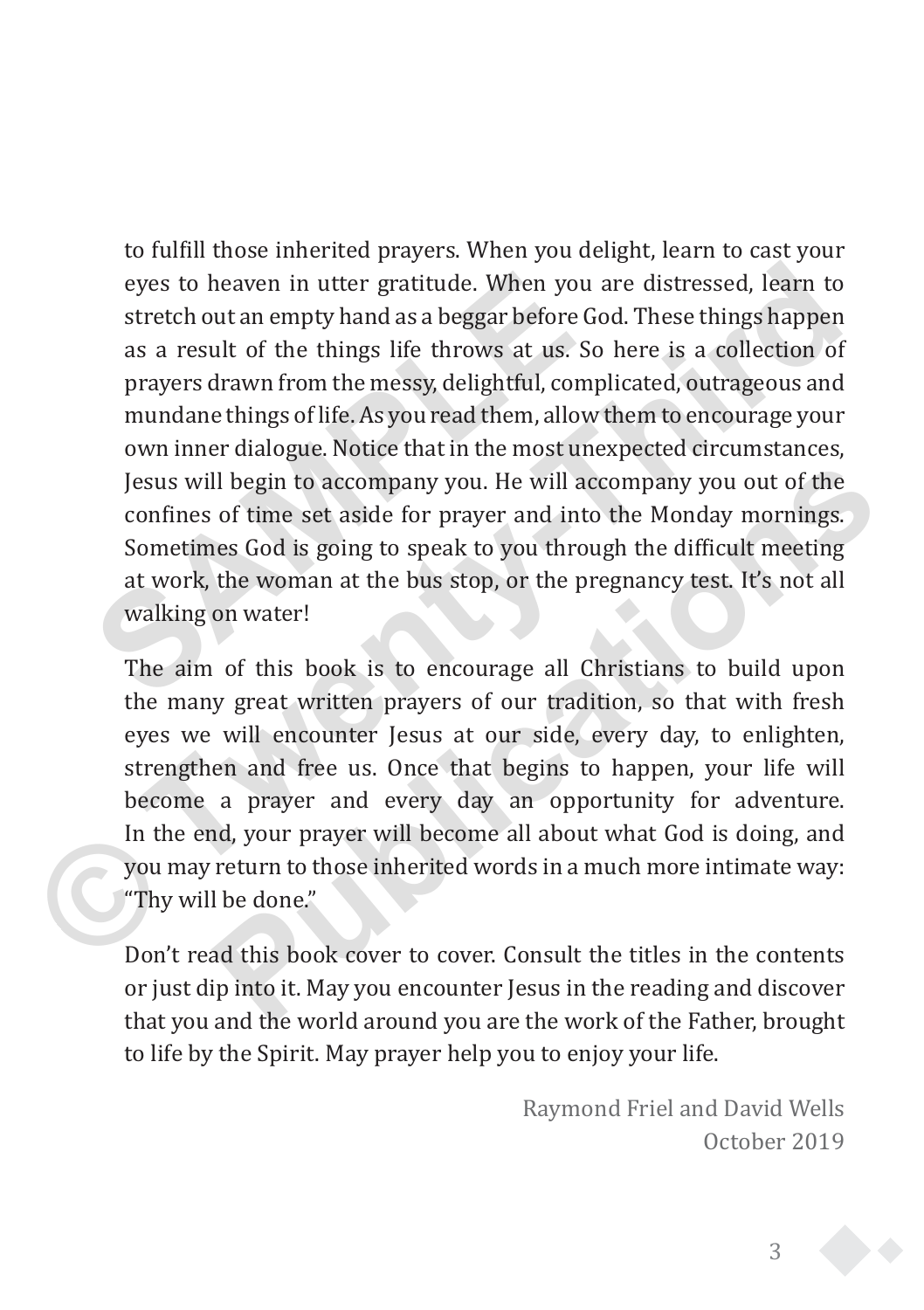to fulfill those inherited prayers. When you delight, learn to cast your eyes to heaven in utter gratitude. When you are distressed, learn to stretch out an empty hand as a beggar before God. These things happen as a result of the things life throws at us. So here is a collection of prayers drawn from the messy, delightful, complicated, outrageous and mundane things of life. As you read them, allow them to encourage your own inner dialogue. Notice that in the most unexpected circumstances, Jesus will begin to accompany you. He will accompany you out of the confines of time set aside for prayer and into the Monday mornings. Sometimes God is going to speak to you through the difficult meeting at work, the woman at the bus stop, or the pregnancy test. It's not all walking on water! eyes to heaven in utter grattique. When you are distressed, learn to the production and the production of prays a result of the things life throws at us. So here is a collection of prays deal to fit the things life throws eyes to heaven in utter gratitude. When you are distressed, learn to stretch out an empty hand as a beggar before God. These things happen as a result of the things life throws at us. So here is a collection of prayers dra

The aim of this book is to encourage all Christians to build upon the many great written prayers of our tradition, so that with fresh eves we will encounter Jesus at our side, every day, to enlighten, strengthen and free us. Once that begins to happen, your life will become a prayer and every day an opportunity for adventure. In the end, your prayer will become all about what God is doing, and you may return to those inherited words in a much more intimate way: "Thy will be done." Il begin to accompany you. He will accompany you out of the<br>of time set aside for prayer and into the Monday mornings.<br>nes God is going to speak to you through the difficult meeting<br>the woman at the bus stop, or the pregna

Don't read this book cover to cover. Consult the titles in the contents or just dip into it. May you encounter Jesus in the reading and discover that you and the world around you are the work of the Father, brought to life by the Spirit. May prayer help you to enjoy your life.

> Raymond Friel and David Wells October 2019

> > ͵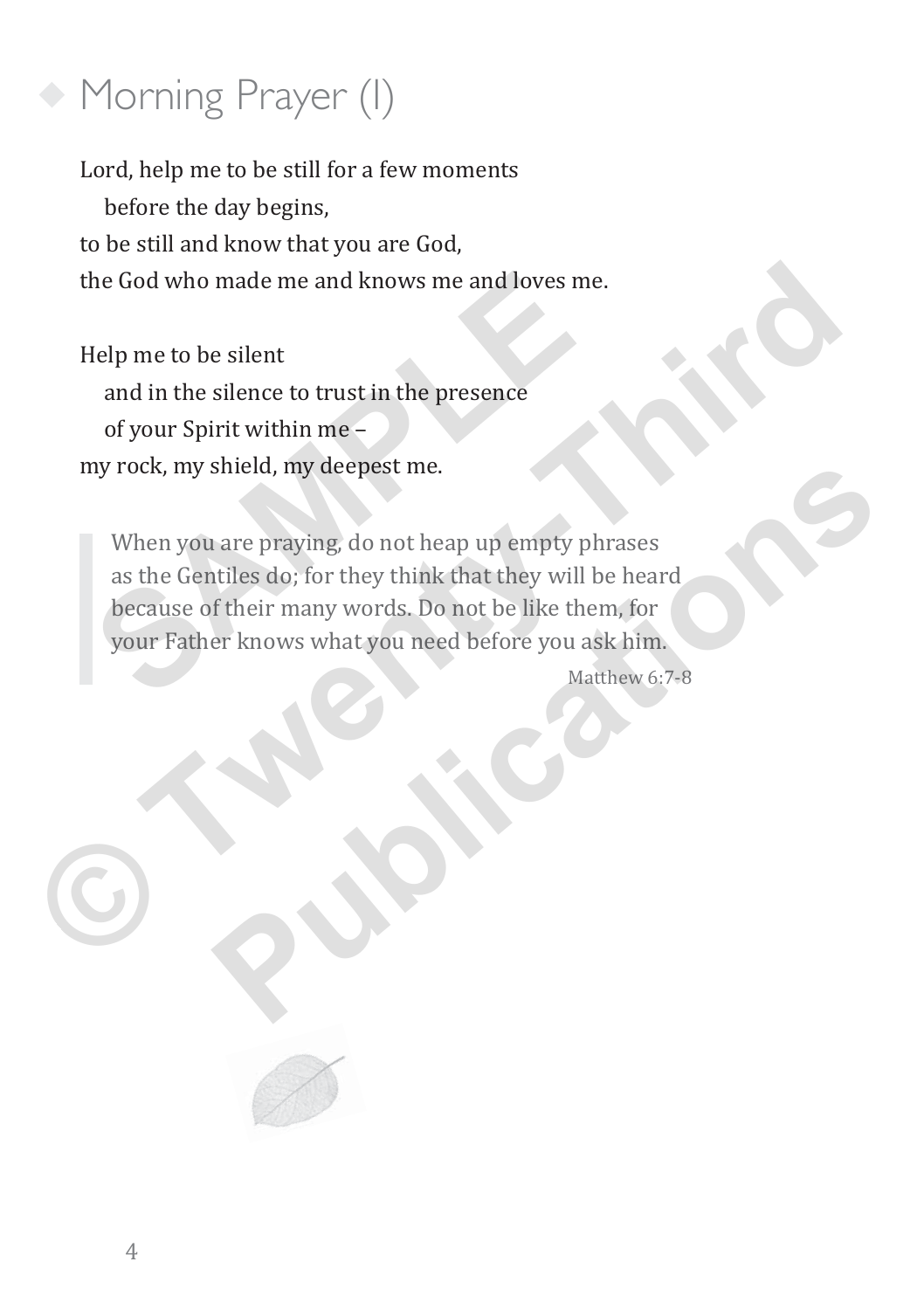## ◆ Morning Prayer (I)

Lord, help me to be still for a few moments before the day begins, to be still and know that you are God, the God who made me and knows me and loves me.

Help me to be silent

and in the silence to trust in the presence

of your Spirit within me -

my rock, my shield, my deepest me.

When you are praying, do not heap up empty phrases as the Gentiles do; for they think that they will be heard because of their many words. Do not be like them, for your Father knows what you need before you ask him. the God who made me and knows me and loves me.<br>
Help me to be silent<br>
and in the silence to trust in the presence<br>
of your Spirit within me -<br>
my rock, my shield, my depest me.<br>
When you are paying, do not been up empty ph the God who made me and knows me and loves me.<br>
Help me to be silent<br>
and in the silence to trust in the presence<br>
of your Spirit within me –<br>
my rock, my shield, my deepest me.<br>
When you are praying, do not heap up empty shield, my deepest me.<br>
a rare praying, do not heap up empty phrases<br>
tilles do; for they think that they will be heard<br>
f their many words. Do not be like them, for<br>
er knows what you need before you ask him.<br>
Matthew 6:7

Matthew 6:7-8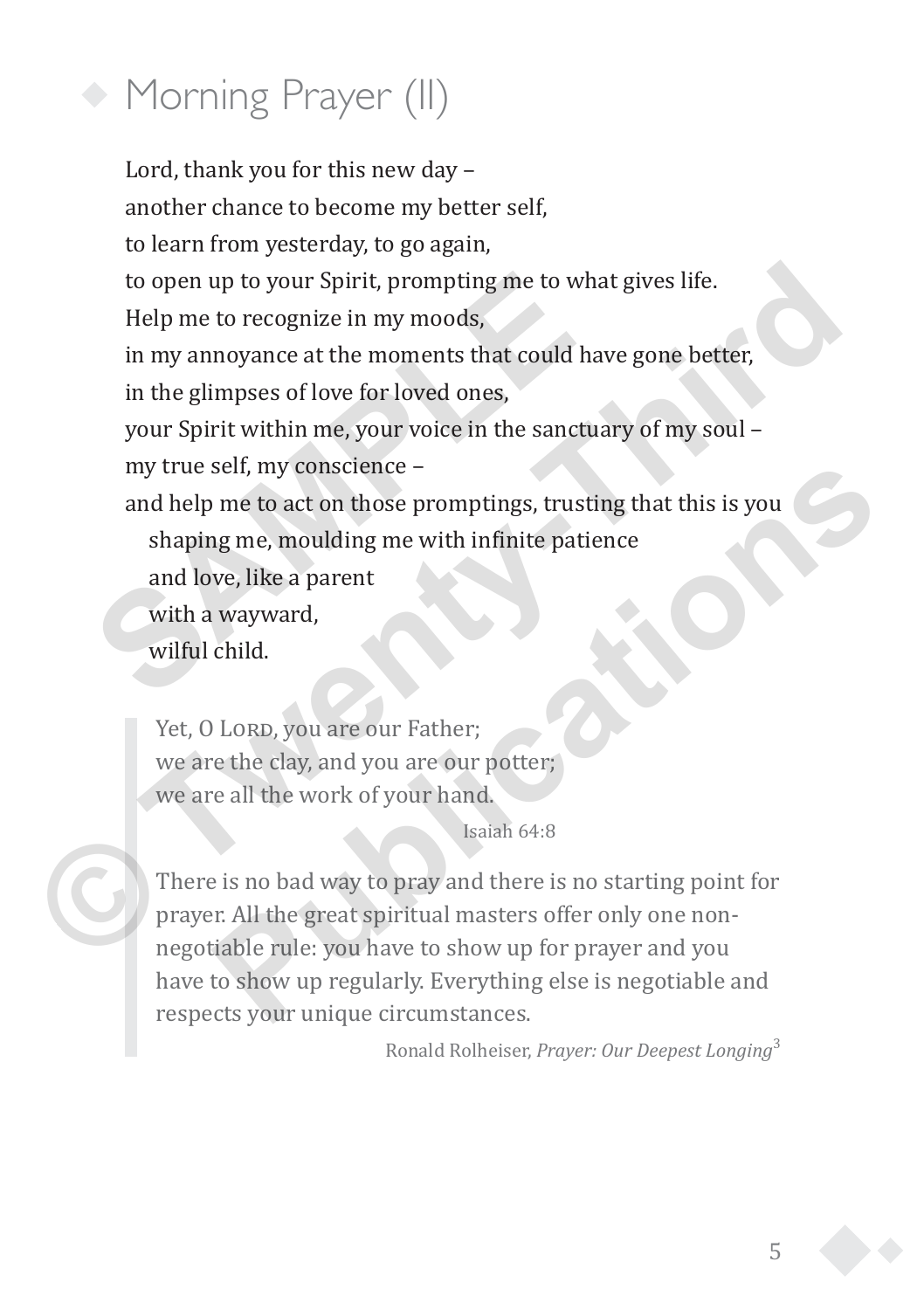## ◆ Morning Prayer (II)

Lord, thank you for this new day another chance to become my better self, to learn from yesterday, to go again, to open up to your Spirit, prompting me to what gives life. Help me to recognize in my moods, in my annoyance at the moments that could have gone better, in the glimpses of love for loved ones, your Spirit within me, your voice in the sanctuary of my soul my true self, my conscience – and help me to act on those promptings, trusting that this is you shaping me, moulding me with infinite patience and love, like a parent with a wayward, wilful child. to open up to your Spirit, prompting me to what gives life.<br>
Help me to recognize in my monods.<br>
In my annoparce at the moments that could have gone better,<br>
in the glimpses of low for loved ones,<br>
your Spirit within me, to open up to your Spirit, prompting me to what gives life.<br>
Help me to recognize in my moods,<br>
in my annoyance at the moments that could have gone better,<br>
in the glimpses of love for loved ones,<br>
your Spirit within me, y **Publication CONTERT:**<br> **Publication CONTERT:**<br> **Publication CONTERT:**<br> **PUBLICATE:**<br> **PUBLICATE:**<br> **PUBLICATE:**<br> **PUBLICATE:**<br> **PUBLICATE:**<br> **PUBLICATE:**<br> **PUBLICATE:**<br> **PUBLICATE:**<br> **PUBLICATE:**<br> **PUBLICATE:**<br> **PUBLICATE** 

Yet, O Lorp, you are our Father; we are the clay, and you are our potter; we are all the work of your hand.

Isaiah 64:8

There is no bad way to pray and there is no starting point for prayer. All the great spiritual masters offer only one nonnegotiable rule: you have to show up for prayer and you have to show up regularly. Everything else is negotiable and respects your unique circumstances.

Ronald Rolheiser, *Prayer: Our Deepest Longing*͵

5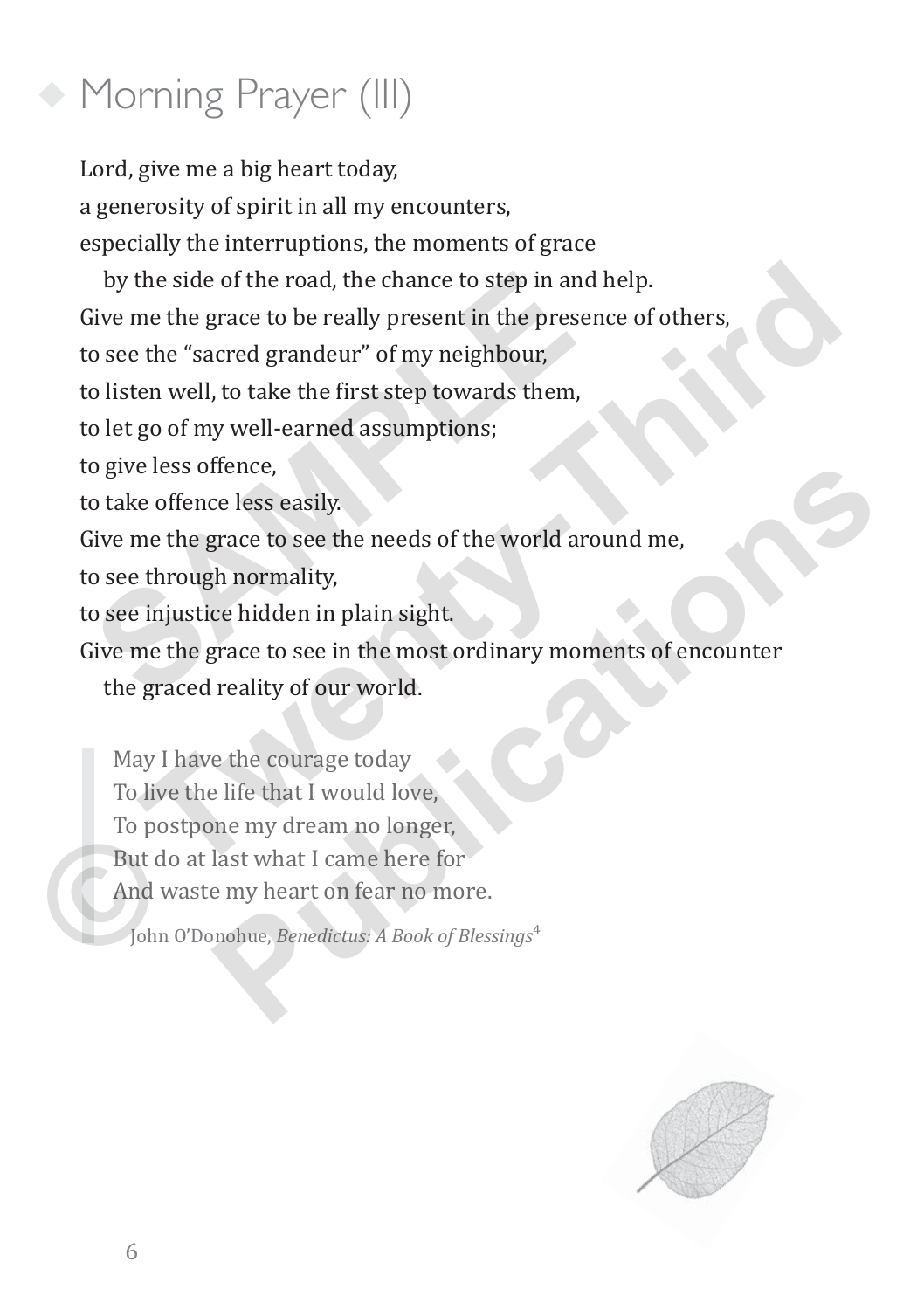## Morning Prayer (III)

Lord, give me a big heart today, a generosity of spirit in all my encounters, especially the interruptions, the moments of grace

by the side of the road, the chance to step in and help. Give me the grace to be really present in the presence of others, to see the "sacred grandeur" of my neighbour, to listen well, to take the first step towards them, to let go of my well-earned assumptions; to give less offence, to take offence less easily. Give me the grace to see the needs of the world around me, to see through normality, to see injustice hidden in plain sight. Give me the grace to see in the most ordinary moments of encounter by the side of the road, the chance to step in and help.<br>Give me the grace to be really presentin the presence of others,<br>to see the "sacred grandeur" of my neighbour,<br>to listen well, to take the first step towards them,<br>t by the side of the road, the chance to step in and help.<br>
Give me the grace to be really present in the presence of others,<br>
to see the "sacred grandeur" of my neighbour,<br>
to listen well, to take the first step towards the rrence,<br>rence to see the needs of the world around me,<br>th normality,<br>ce hidden in plain sight.<br>grace to see in the most ordinary moments of encounter<br>reality of our world.<br>e the courage today<br>e life that I would love,<br>me m

the graced reality of our world.

May I have the courage today To live the life that I would love, To postpone my dream no longer, But do at last what I came here for And waste my heart on fear no more.

John O'Donohue, Benedictus: A Book of Blessings<sup>4</sup>

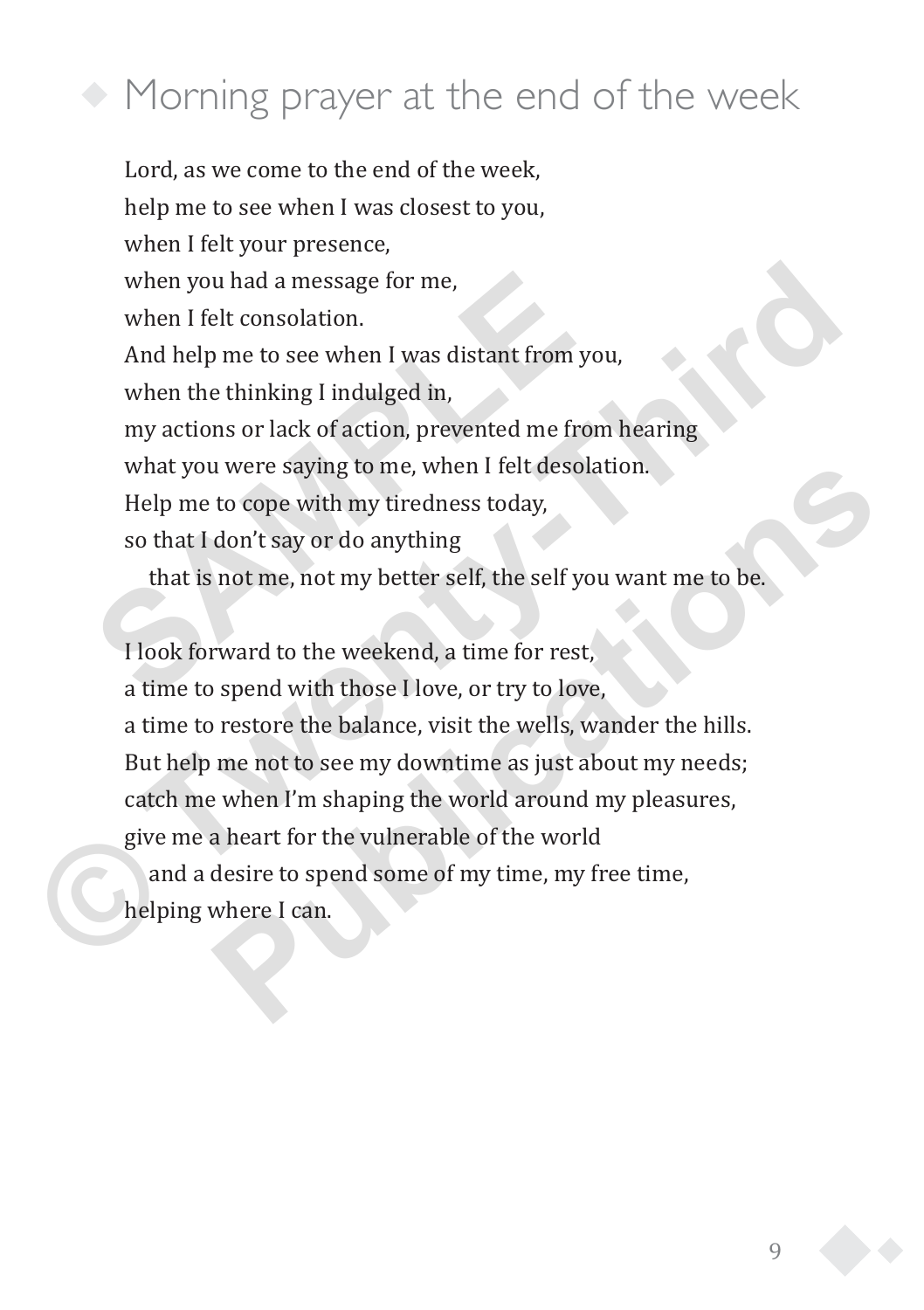### Morning prayer at the end of the week

Lord, as we come to the end of the week. help me to see when I was closest to you, when I felt your presence, when you had a message for me, when I felt consolation. And help me to see when I was distant from you, when the thinking I indulged in, my actions or lack of action, prevented me from hearing what you were saying to me, when I felt desolation. Help me to cope with my tiredness today, so that I don't say or do anything when you had a message for me,<br>when I felt consolation.<br>And help me to see when I was distant from you,<br>And help me to see when I was distant from you,<br>when the thinking I indulged in,<br>my actions or lack of action, prevent when you had a message for me,<br>
when I felt consolation.<br>
And help me to see when I was distant from you,<br>
when the thinking I indulged in,<br>
my actions or lack of action, prevented me from hearing<br>
what you were saying to

that is not me, not my better self, the self you want me to be.

I look forward to the weekend, a time for rest, a time to spend with those I love, or try to love, a time to restore the balance, visit the wells, wander the hills. But help me not to see my downtime as just about my needs; catch me when I'm shaping the world around my pleasures, give me a heart for the vulnerable of the world and a desire to spend some of my time, my free time. helping where I can. If were saying to me, when I left desolation.<br>
to cope with my tiredness today,<br>
don't say or do anything<br>
not me, not my better self, the self you want me to be.<br>
<br>
From the method, a time for rest,<br>
spend with those I lo

 $\mathcal{Q}$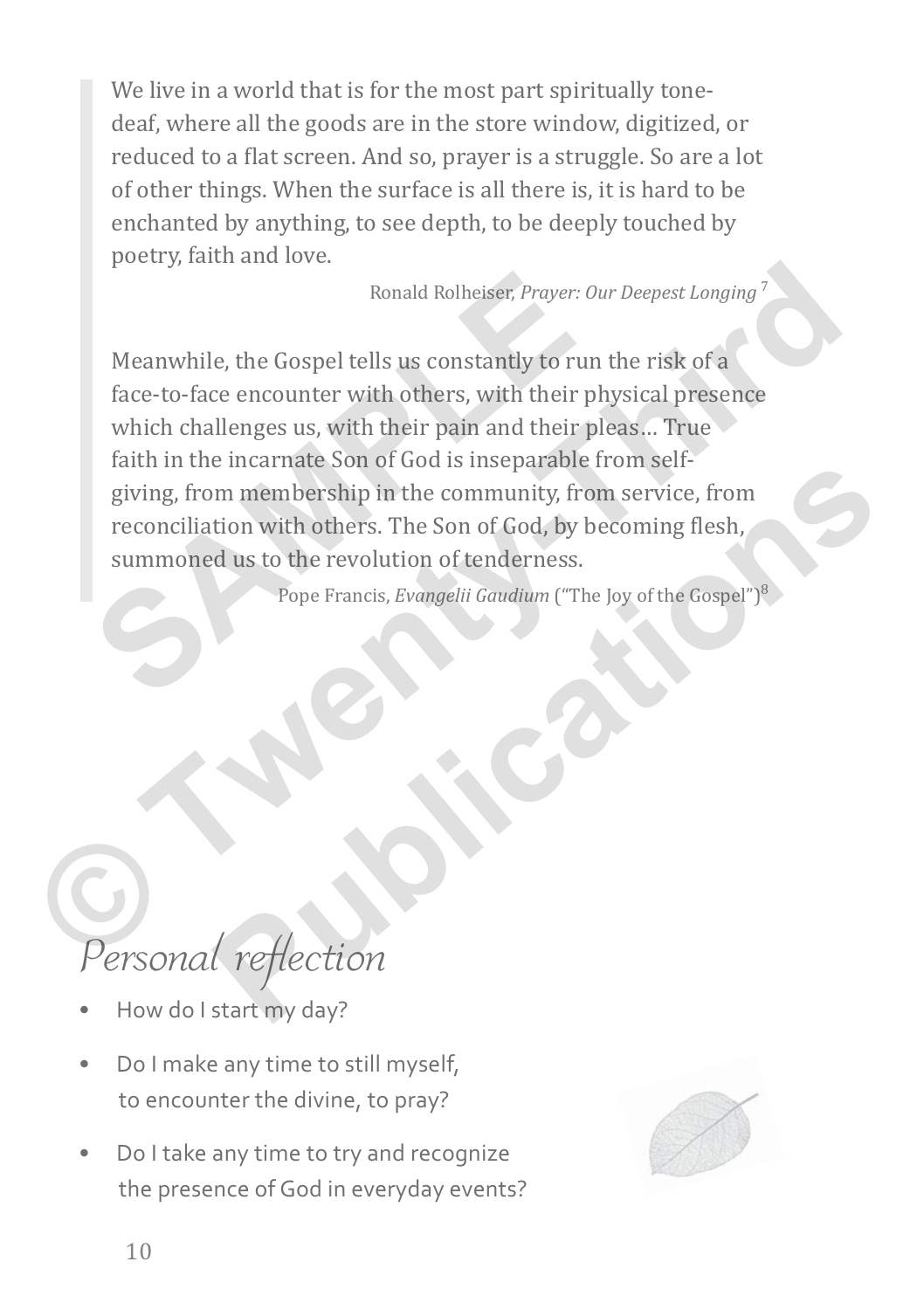We live in a world that is for the most part spiritually tonedeaf, where all the goods are in the store window, digitized, or reduced to a flat screen. And so, prayer is a struggle. So are a lot of other things. When the surface is all there is, it is hard to be enchanted by anything, to see depth, to be deeply touched by poetry, faith and love.

Ronald Rolheiser, *Prayer: Our Deepest Longing* <sup>7</sup>

Meanwhile, the Gospel tells us constantly to run the risk of a face-to-face encounter with others, with their physical presence which challenges us, with their pain and their pleas... True faith in the incarnate Son of God is inseparable from selfgiving, from membership in the community, from service, from reconciliation with others. The Son of God, by becoming flesh, summoned us to the revolution of tenderness. Franchille, the Gospel tells us constantly for run the risk of a<br>face-to-face encounter with others, with their physical presence<br>which challengs us, with their paparamel their physical presence<br>which challengs us, with th Ronald Rolheiser, *Prayer: Our Deepest Longing*<br>
Meanwhile, the Gospel tells us constantly to run the risk of a<br>
face-to-face encounter with others, with their physical presence<br>
which challenges us, with their pain and th Francisco Control and Superior Control and Superior Control and Superior Control and Superior School and Superior School and Superior School and Superior Control and Superior Control and Superior Control and Superior Contr

Pope Francis, *Evangelii Gaudium* ("The Joy of the Gospel")<sup>8</sup>

### Personal reflection

- How do I start my day?
- Do I make any time to still myself, to encounter the divine, to pray?
- Do I take any time to try and recognize the presence of God in everyday events?

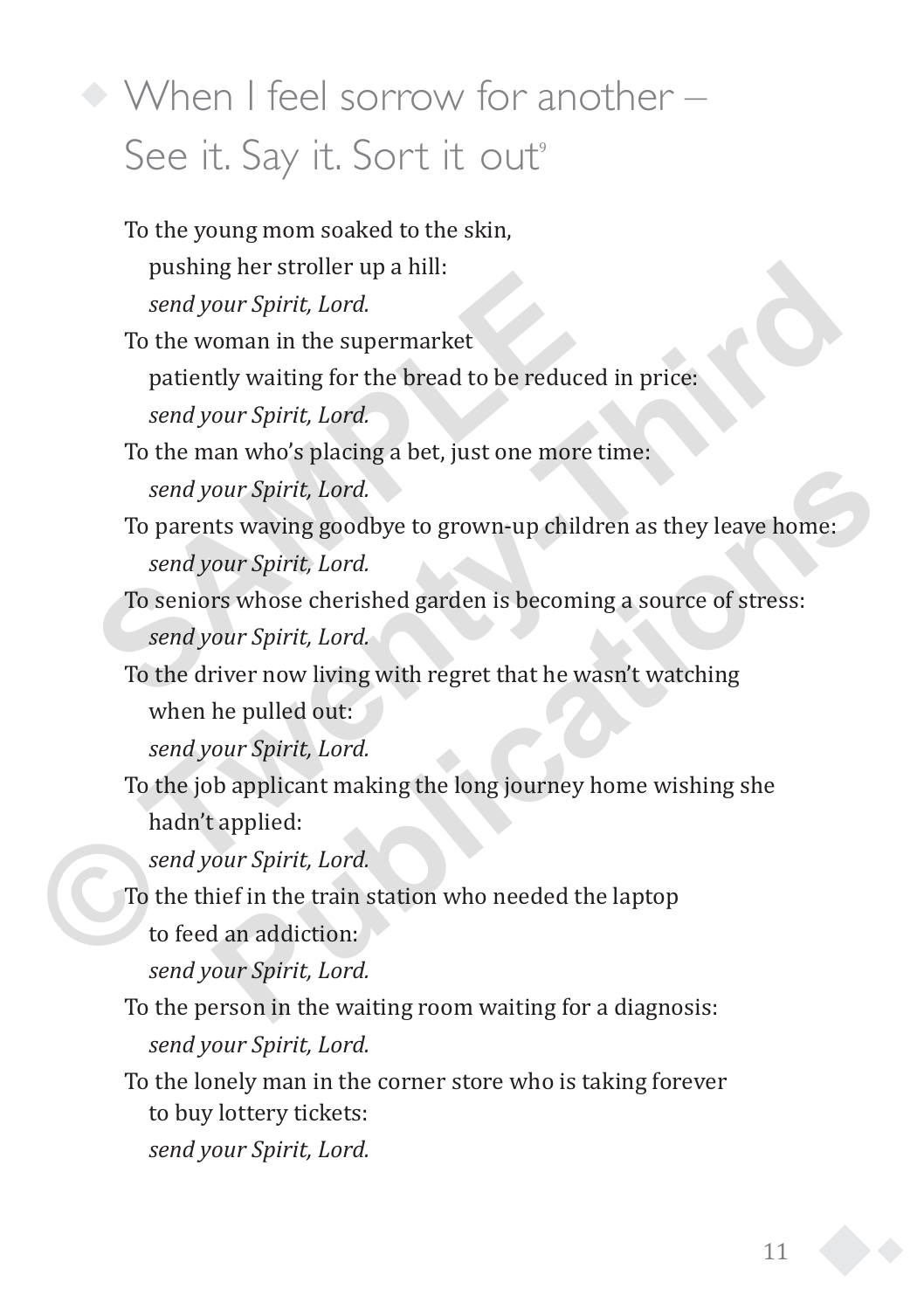## When I feel sorrow for another – See it. Say it. Sort it out<sup>9</sup>

To the young mom soaked to the skin, pushing her stroller up a hill: *send your Spirit, Lord.* To the woman in the supermarket patiently waiting for the bread to be reduced in price: *send your Spirit, Lord.* To the man who's placing a bet, just one more time: *send your Spirit, Lord.* To parents waving goodbye to grown-up children as they leave home: *send your Spirit, Lord.* To seniors whose cherished garden is becoming a source of stress: *send your Spirit, Lord.* To the driver now living with regret that he wasn't watching when he pulled out: *send your Spirit, Lord.* To the job applicant making the long journey home wishing she hadn't applied: *send your Spirit, Lord.* To the thief in the train station who needed the laptop to feed an addiction: *send your Spirit, Lord.* To the person in the waiting room waiting for a diagnosis: *send your Spirit, Lord.* To the lonely man in the corner store who is taking forever to buy lottery tickets: *send your Spirit, Lord.* From the supermarket<br>
send your Spirit, Lord.<br>
To the woman in the supermarket<br>
patently waiting for the bread to be reduced in price:<br>
send your Spirit, Lord.<br>
To the man who's placing a bet, just one more times:<br>
send yo pushing her stroller up a hill:<br>
send your Spirit, Lord.<br>
To the woman in the supermarket<br>
patiently waiting for the bread to be reduced in price:<br>
send your Spirit, Lord.<br>
To the man who's placing a bet, just one more tim our Spirit, Lord.<br>
the waving goodbye to grown-up children as they leave home:<br>
our Spirit, Lord.<br>
From Surism and Surism of Surism and Surism of Stress:<br>
our Spirit, Lord.<br>
From Niving with regret that he wasn't watching<br>

ͳͳ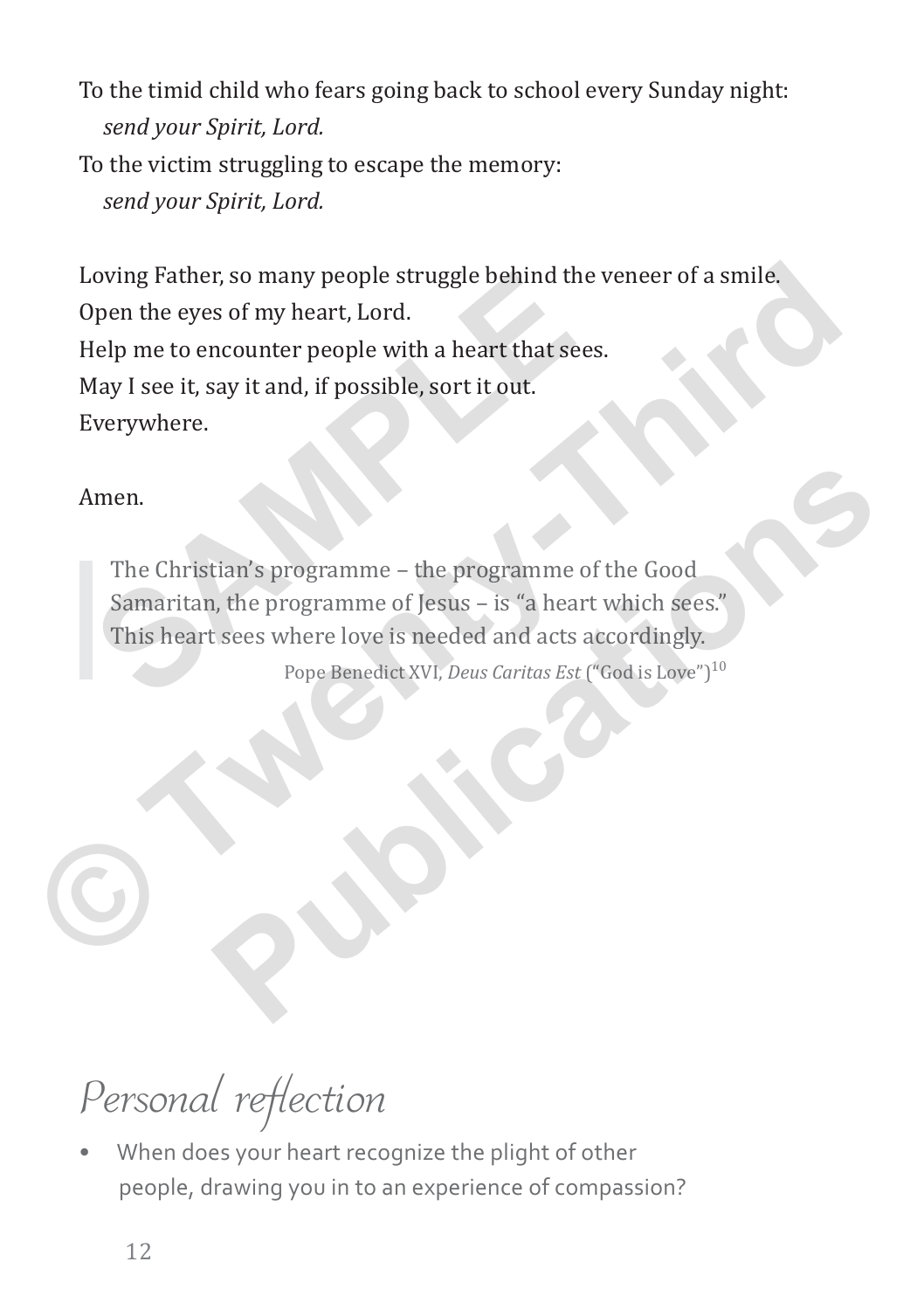To the timid child who fears going back to school every Sunday night: *send your Spirit, Lord.* To the victim struggling to escape the memory: *send your Spirit, Lord.*

Loving Father, so many people struggle behind the veneer of a smile. Open the eyes of my heart, Lord. Help me to encounter people with a heart that sees. May I see it, say it and, if possible, sort it out. Evervwhere. Loving Harter, so many peope struggle benind the veneer of a smule,<br>
Open the eyes of my heart, lord.<br>
Help me to encounter people with a heart that sees.<br>
May I see it, say it and, if possible, sort it out.<br>
Everywhere.<br> Loving Father, so many people struggle behind the veneer of a smile.<br>
Open the eyes of my heart, Lord.<br>
Help me to encounter people with a heart that sees.<br>
May I see it, say it and, if possible, sort it out.<br>
Everywhere.<br>

#### Amen.

The Christian's programme – the programme of the Good Samaritan, the programme of Jesus – is "a heart which sees." This heart sees where love is needed and acts accordingly. **Publican's programme – the programme of the Good**<br> **Publication A Publication 2 Publication 2 Publications 2 Publications 2 Publications 2 Publications 2 Publications 2 Publications 2 Publications 2 Pu** 

Pope Benedict XVI*, Deus Caritas Est* ("God is Love")<sup>10</sup>

# Personal reflection

When does your heart recognize the plight of other people, drawing you in to an experience of compassion?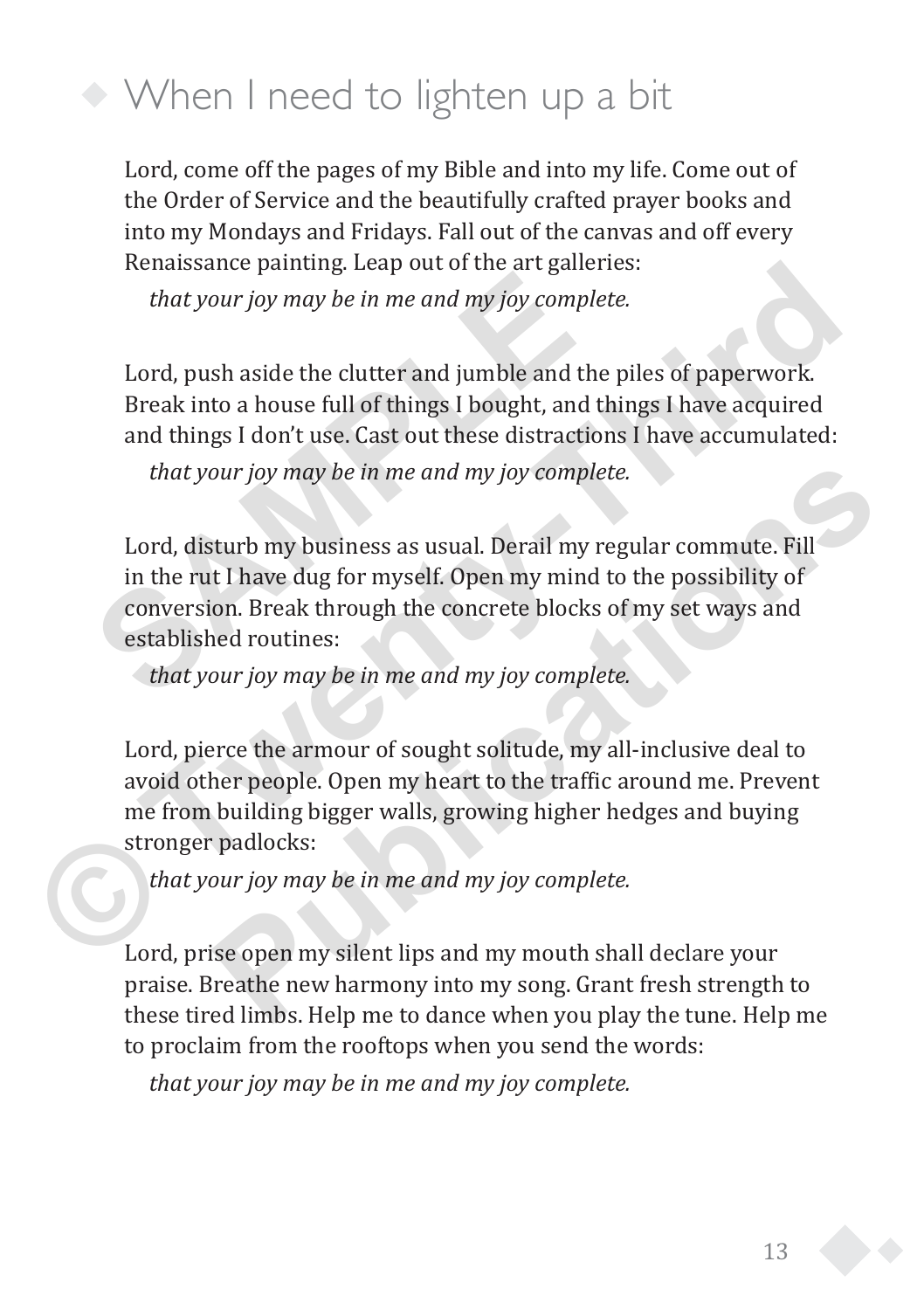#### ◆ When I need to lighten up a bit

Lord, come off the pages of my Bible and into my life. Come out of the Order of Service and the beautifully crafted praver books and into my Mondays and Fridays. Fall out of the canvas and off every Renaissance painting. Leap out of the art galleries:

*that your joy may be in me and my joy complete.* 

Lord, push aside the clutter and jumble and the piles of paperwork. Break into a house full of things I bought, and things I have acquired and things I don't use. Cast out these distractions I have accumulated:

*that your joy may be in me and my joy complete.* 

Lord, disturb my business as usual. Derail my regular commute. Fill in the rut I have dug for myself. Open my mind to the possibility of conversion. Break through the concrete blocks of my set ways and established routines:

*<i>chat vour joy may be in me and my joy complete.* 

Lord, pierce the armour of sought solitude, my all-inclusive deal to avoid other people. Open my heart to the traffic around me. Prevent me from building bigger walls, growing higher hedges and buying stronger padlocks: renaissance painting. Leap out of the art galleries:<br> *that your joy may be in me and my joy complete.*<br>
Lord, push aside the clutter and jumble and the piles of paperwork.<br>
Break into a house full of things I bought, and our joy may be in me and my joy complete.<br> **Publication**<br> **Publication**<br> **Publication**<br> **Publication**<br> **Publication**<br> **Publication**<br> **Publication**<br> **Publication**<br> **Publication**<br> **Publication**<br> **Publication**<br> **Publication**<br>

*that your joy may be in me and my joy complete.* 

Lord, prise open my silent lips and my mouth shall declare your praise. Breathe new harmony into my song. Grant fresh strength to these tired limbs. Help me to dance when you play the tune. Help me to proclaim from the rooftops when you send the words: that your joy may be in me and my joy complete.<br>Lord, push aside the clutter and jumble and the piles of paperwork.<br>Break into a house full of things 1 bought, and things 1 have acquired<br>and things 1 ont use Gast out these

*that your joy may be in me and my joy complete.*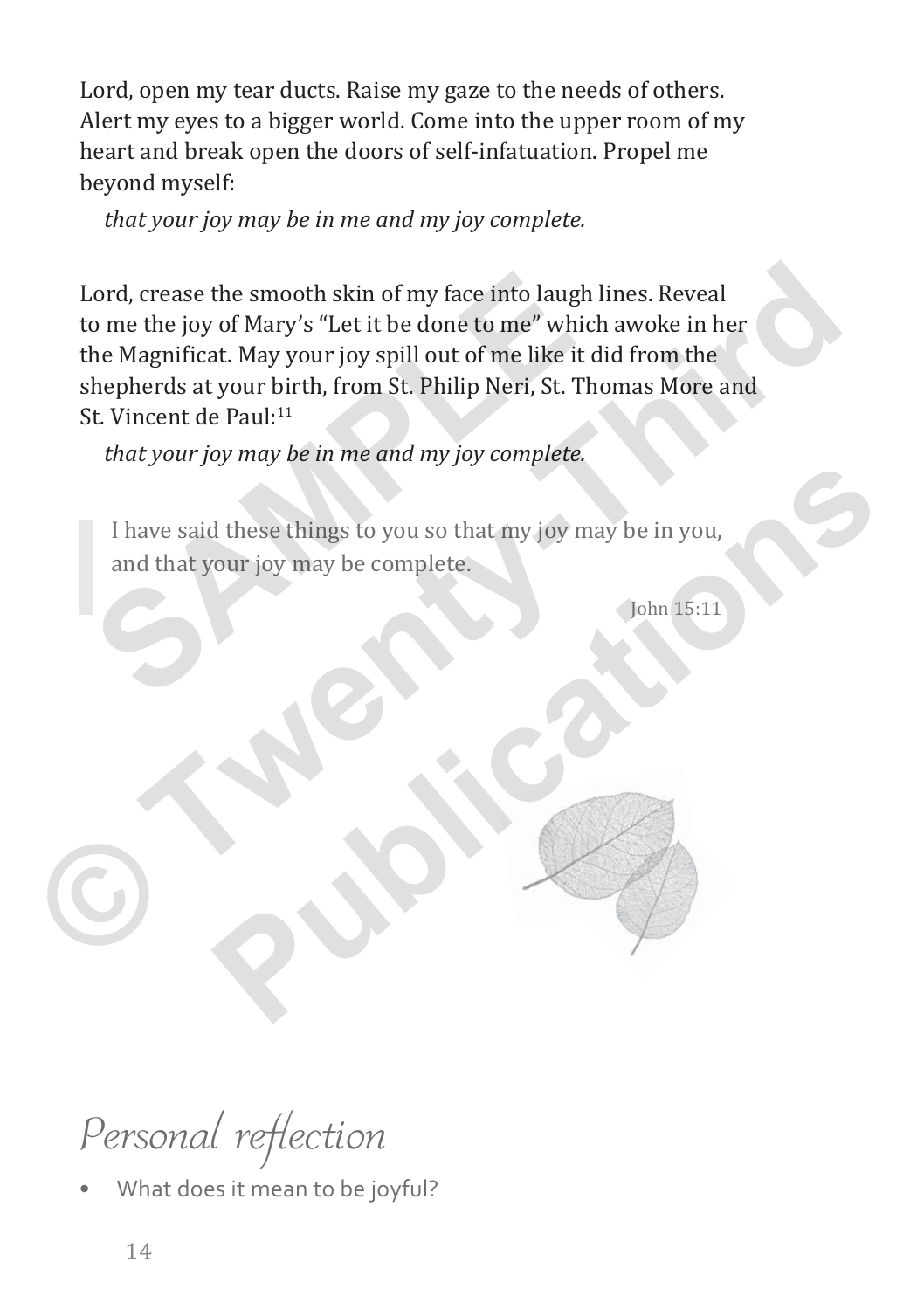Lord, open my tear ducts. Raise my gaze to the needs of others. Alert my eyes to a bigger world. Come into the upper room of my heart and break open the doors of self-infatuation. Propel me beyond myself:

*that your joy may be in me and my joy complete.* 

Lord, crease the smooth skin of my face into laugh lines. Reveal to me the joy of Mary's "Let it be done to me" which awoke in her the Magnificat. May your joy spill out of me like it did from the shepherds at your birth, from St. Philip Neri, St. Thomas More and St. Vincent de Paul:<sup>11</sup> Lord, crease the smooth skin of ny face into laugh lines. Reveal<br>to me the loy of Mary's Let it be done to me<sup>2</sup> which a woke in her<br>the Magnificat. May your joy spill out of me like it did from the<br>shepherds at your birth Lord, crease the smooth skin of my face into laugh lines. Reveal<br>to me the joy of Mary's "Let it be done to me" which awoke in her<br>the Magnificat. May your joy spill out of me like it did from the<br>shepherds at your birth,

*that your joy may be in me and my joy complete.* 

I have said these things to you so that my joy may be in you, and that your joy may be complete. **Publications and these things to you so that my joy may be in you, cour joy may be complete.** 

 $John 15:11$ 

Personal reflection

• What does it mean to be joyful?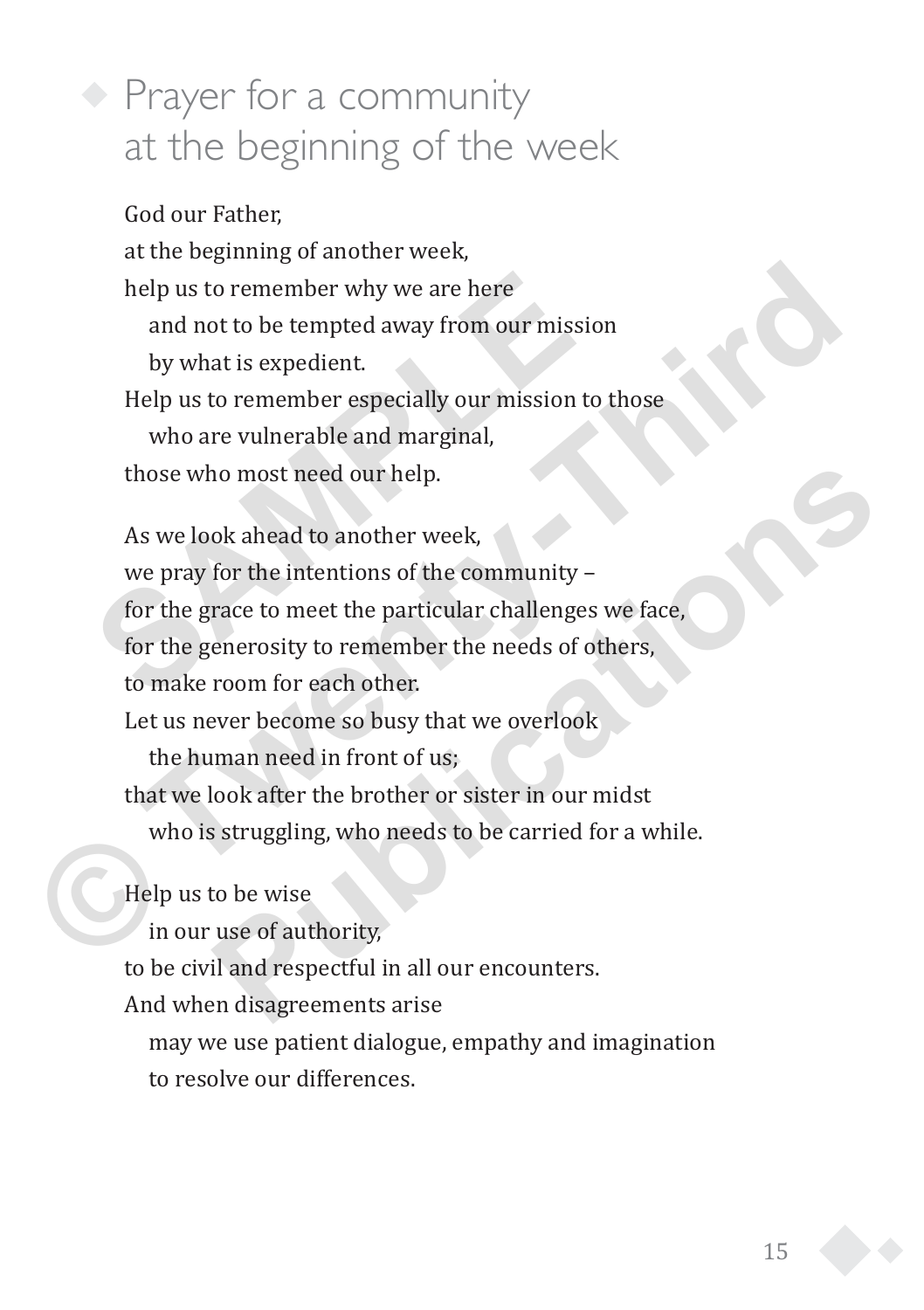#### ◆ Prayer for a community at the beginning of the week

God our Father, at the beginning of another week. help us to remember why we are here and not to be tempted away from our mission by what is expedient. Help us to remember especially our mission to those who are vulnerable and marginal. those who most need our help.

As we look ahead to another week. we pray for the intentions of the community for the grace to meet the particular challenges we face. for the generosity to remember the needs of others, to make room for each other. Let us never become so busy that we overlook the human need in front of us: that we look after the brother or sister in our midst who is struggling, who needs to be carried for a while. help us to remember why we are here<br>
and not to be tempted away from our mission<br>
by what is expedient.<br>
Help us to remember especially our mission to those<br>
who are vulnerable and marginal.<br>
those who are vulnerable and m help us to remember why we are here<br>
and not to be tempted away from our mission<br>
by what is expedient.<br>
Help us to remember especially our mission to those<br>
who are vulnerable and marginal,<br>
those who most need our help.<br> no most need our help.<br>
ok ahead to another week,<br>
for the intentions of the community –<br>
race to meet the particular challenges we face,<br>
enerosity to remember the needs of others,<br>
room for each other.<br>
wer become so bus

#### Help us to be wise

in our use of authority,

to be civil and respectful in all our encounters.

#### And when disagreements arise

may we use patient dialogue, empathy and imagination to resolve our differences